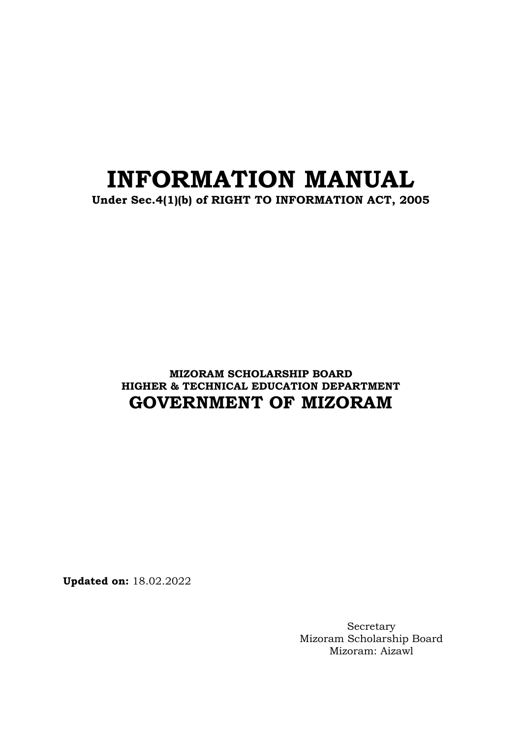# **INFORMATION MANUAL**

**Under Sec.4(1)(b) of RIGHT TO INFORMATION ACT, 2005**

**MIZORAM SCHOLARSHIP BOARD HIGHER & TECHNICAL EDUCATION DEPARTMENT GOVERNMENT OF MIZORAM**

**Updated on:** 18.02.2022

Secretary Mizoram Scholarship Board Mizoram: Aizawl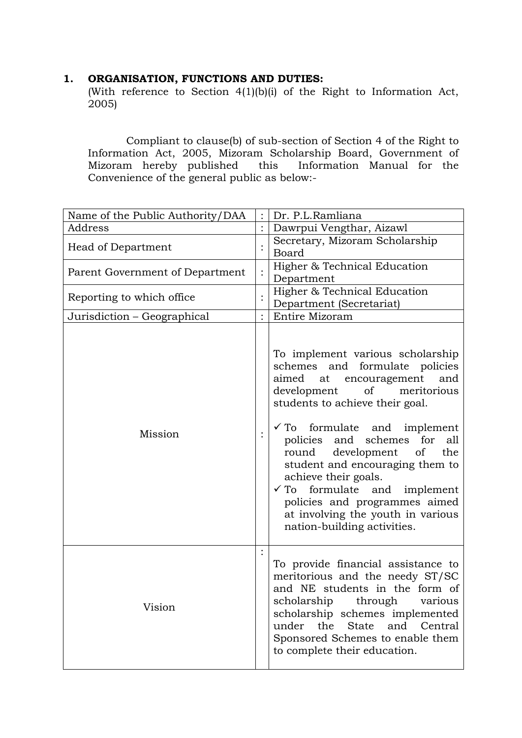## **1. ORGANISATION, FUNCTIONS AND DUTIES:**

(With reference to Section 4(1)(b)(i) of the Right to Information Act,  $2005$ 

Compliant to clause(b) of sub-section of Section 4 of the Right to Information Act, 2005, Mizoram Scholarship Board, Government of Mizoram hereby published this Information Manual for the Convenience of the general public as below:-

| Name of the Public Authority/DAA |          | Dr. P.L.Ramliana                                                                                                                                                                                                                                                                                                                                                                                                                                                                                      |
|----------------------------------|----------|-------------------------------------------------------------------------------------------------------------------------------------------------------------------------------------------------------------------------------------------------------------------------------------------------------------------------------------------------------------------------------------------------------------------------------------------------------------------------------------------------------|
| Address                          |          | Dawrpui Vengthar, Aizawl                                                                                                                                                                                                                                                                                                                                                                                                                                                                              |
| <b>Head of Department</b>        |          | Secretary, Mizoram Scholarship<br>Board                                                                                                                                                                                                                                                                                                                                                                                                                                                               |
| Parent Government of Department  |          | Higher & Technical Education<br>Department                                                                                                                                                                                                                                                                                                                                                                                                                                                            |
| Reporting to which office        |          | Higher & Technical Education<br>Department (Secretariat)                                                                                                                                                                                                                                                                                                                                                                                                                                              |
| Jurisdiction - Geographical      |          | Entire Mizoram                                                                                                                                                                                                                                                                                                                                                                                                                                                                                        |
| Mission                          | $\vdots$ | To implement various scholarship<br>schemes and formulate policies<br>aimed<br>encouragement<br>at<br>and<br>development of<br>meritorious<br>students to achieve their goal.<br>$\checkmark$ To formulate and implement<br>policies and schemes for all<br>development of<br>round<br>the<br>student and encouraging them to<br>achieve their goals.<br>formulate and implement<br>$\sqrt{T_0}$<br>policies and programmes aimed<br>at involving the youth in various<br>nation-building activities. |
| Vision                           |          | To provide financial assistance to<br>meritorious and the needy ST/SC<br>and NE students in the form of<br>scholarship through various<br>scholarship schemes implemented<br>under<br>the<br><b>State</b><br>and<br>Central<br>Sponsored Schemes to enable them<br>to complete their education.                                                                                                                                                                                                       |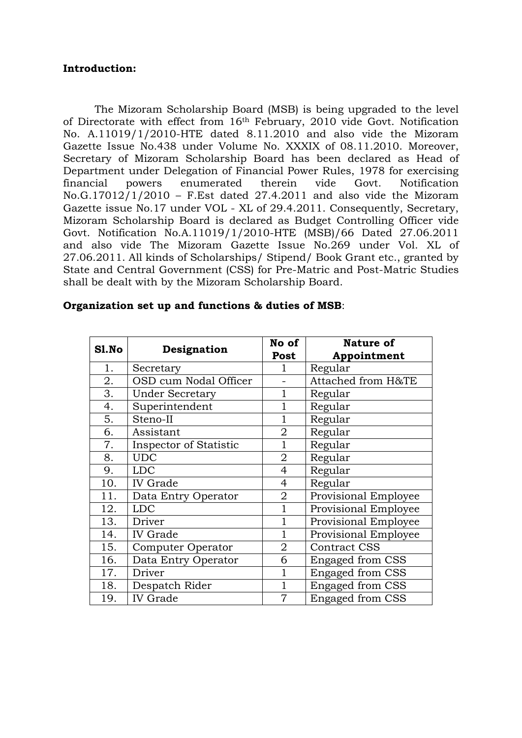### **Introduction:**

The Mizoram Scholarship Board (MSB) is being upgraded to the level of Directorate with effect from 16th February, 2010 vide Govt. Notification No. A.11019/1/2010-HTE dated 8.11.2010 and also vide the Mizoram Gazette Issue No.438 under Volume No. XXXIX of 08.11.2010. Moreover, Secretary of Mizoram Scholarship Board has been declared as Head of Department under Delegation of Financial Power Rules, 1978 for exercising financial powers enumerated therein vide Govt. Notification No.G.17012/1/2010 – F.Est dated 27.4.2011 and also vide the Mizoram Gazette issue No.17 under VOL - XL of 29.4.2011. Consequently, Secretary, Mizoram Scholarship Board is declared as Budget Controlling Officer vide Govt. Notification No.A.11019/1/2010-HTE (MSB)/66 Dated 27.06.2011 and also vide The Mizoram Gazette Issue No.269 under Vol. XL of 27.06.2011. All kinds of Scholarships/ Stipend/ Book Grant etc., granted by State and Central Government (CSS) for Pre-Matric and Post-Matric Studies shall be dealt with by the Mizoram Scholarship Board.

| Sl.No |                        | No of          | Nature of               |
|-------|------------------------|----------------|-------------------------|
|       | Designation            | Post           | Appointment             |
| 1.    | Secretary              | 1              | Regular                 |
| 2.    | OSD cum Nodal Officer  |                | Attached from H&TE      |
| 3.    | <b>Under Secretary</b> | 1              | Regular                 |
| 4.    | Superintendent         | $\mathbf{1}$   | Regular                 |
| 5.    | Steno-II               | 1              | Regular                 |
| 6.    | Assistant              | $\overline{2}$ | Regular                 |
| 7.    | Inspector of Statistic | 1              | Regular                 |
| 8.    | <b>UDC</b>             | $\overline{2}$ | Regular                 |
| 9.    | <b>LDC</b>             | 4              | Regular                 |
| 10.   | <b>IV</b> Grade        | 4              | Regular                 |
| 11.   | Data Entry Operator    | $\overline{2}$ | Provisional Employee    |
| 12.   | <b>LDC</b>             | $\mathbf{1}$   | Provisional Employee    |
| 13.   | Driver                 | 1              | Provisional Employee    |
| 14.   | <b>IV</b> Grade        | 1              | Provisional Employee    |
| 15.   | Computer Operator      | 2              | <b>Contract CSS</b>     |
| 16.   | Data Entry Operator    | 6              | <b>Engaged from CSS</b> |
| 17.   | Driver                 | 1              | <b>Engaged from CSS</b> |
| 18.   | Despatch Rider         | $\mathbf{1}$   | <b>Engaged from CSS</b> |
| 19.   | <b>IV</b> Grade        | 7              | <b>Engaged from CSS</b> |

#### **Organization set up and functions & duties of MSB**: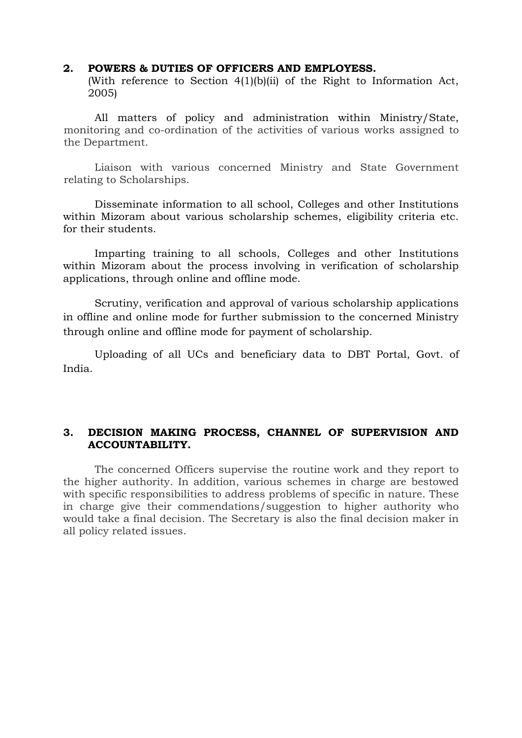#### **2. POWERS & DUTIES OF OFFICERS AND EMPLOYESS.**

(With reference to Section 4(1)(b)(ii) of the Right to Information Act, 2005)

All matters of policy and administration within Ministry/State, monitoring and co-ordination of the activities of various works assigned to the Department.

Liaison with various concerned Ministry and State Government relating to Scholarships.

Disseminate information to all school, Colleges and other Institutions within Mizoram about various scholarship schemes, eligibility criteria etc. for their students.

Imparting training to all schools, Colleges and other Institutions within Mizoram about the process involving in verification of scholarship applications, through online and offline mode.

Scrutiny, verification and approval of various scholarship applications in offline and online mode for further submission to the concerned Ministry through online and offline mode for payment of scholarship.

Uploading of all UCs and beneficiary data to DBT Portal, Govt. of India.

## **3. DECISION MAKING PROCESS, CHANNEL OF SUPERVISION AND ACCOUNTABILITY.**

The concerned Officers supervise the routine work and they report to the higher authority. In addition, various schemes in charge are bestowed with specific responsibilities to address problems of specific in nature. These in charge give their commendations/suggestion to higher authority who would take a final decision. The Secretary is also the final decision maker in all policy related issues.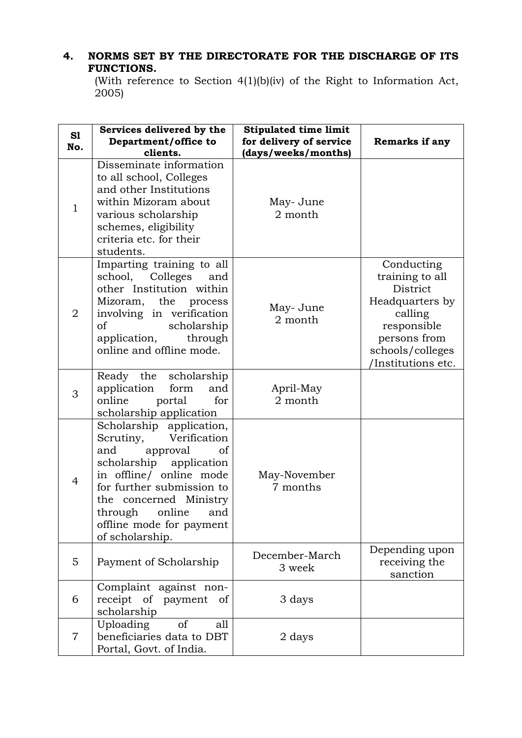# **4. NORMS SET BY THE DIRECTORATE FOR THE DISCHARGE OF ITS FUNCTIONS.**

(With reference to Section 4(1)(b)(iv) of the Right to Information Act,  $2005$ 

| S1<br>No.      | Services delivered by the<br>Department/office to<br>clients.                                                                                                                                                                                                          | <b>Stipulated time limit</b><br>for delivery of service<br>(days/weeks/months) | Remarks if any                                                                                                                                   |
|----------------|------------------------------------------------------------------------------------------------------------------------------------------------------------------------------------------------------------------------------------------------------------------------|--------------------------------------------------------------------------------|--------------------------------------------------------------------------------------------------------------------------------------------------|
| $\mathbf{1}$   | Disseminate information<br>to all school, Colleges<br>and other Institutions<br>within Mizoram about<br>various scholarship<br>schemes, eligibility<br>criteria etc. for their<br>students.                                                                            | May-June<br>2 month                                                            |                                                                                                                                                  |
| $\overline{2}$ | Imparting training to all<br>school, Colleges<br>and<br>other Institution within<br>Mizoram, the process<br>involving in verification<br>of<br>scholarship<br>application,<br>through<br>online and offline mode.                                                      | May-June<br>2 month                                                            | Conducting<br>training to all<br>District<br>Headquarters by<br>calling<br>responsible<br>persons from<br>schools/colleges<br>/Institutions etc. |
| 3              | Ready the<br>scholarship<br>application<br>form<br>and<br>for<br>online<br>portal<br>scholarship application                                                                                                                                                           | April-May<br>2 month                                                           |                                                                                                                                                  |
| $\overline{4}$ | Scholarship application,<br>Verification<br>Scrutiny,<br>and<br>approval<br>of<br>scholarship application<br>in offline/ online mode<br>for further submission to<br>the concerned Ministry<br>online<br>through<br>and<br>offline mode for payment<br>of scholarship. | May-November<br>7 months                                                       |                                                                                                                                                  |
| 5              | Payment of Scholarship                                                                                                                                                                                                                                                 | December-March<br>3 week                                                       | Depending upon<br>receiving the<br>sanction                                                                                                      |
| 6              | Complaint against non-<br>receipt of payment<br>of<br>scholarship                                                                                                                                                                                                      | 3 days                                                                         |                                                                                                                                                  |
| $\overline{7}$ | of<br>Uploading<br>all<br>beneficiaries data to DBT<br>Portal, Govt. of India.                                                                                                                                                                                         | 2 days                                                                         |                                                                                                                                                  |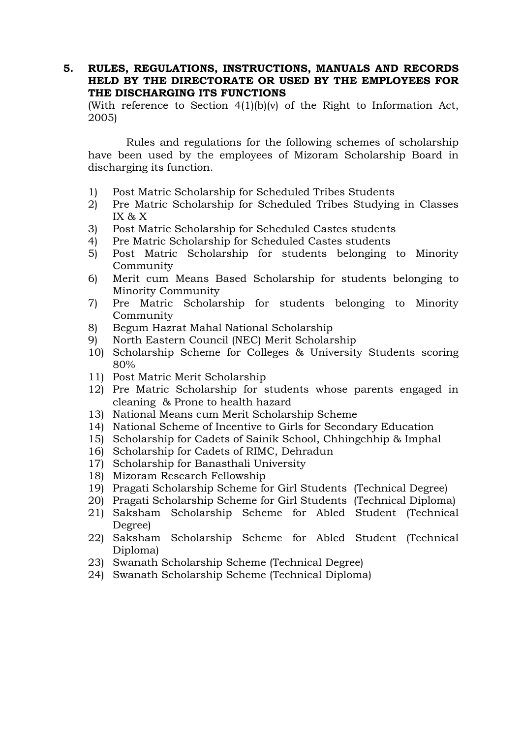#### **5. RULES, REGULATIONS, INSTRUCTIONS, MANUALS AND RECORDS HELD BY THE DIRECTORATE OR USED BY THE EMPLOYEES FOR THE DISCHARGING ITS FUNCTIONS**

(With reference to Section 4(1)(b)(v) of the Right to Information Act, 2005)

Rules and regulations for the following schemes of scholarship have been used by the employees of Mizoram Scholarship Board in discharging its function.

- 1) Post Matric Scholarship for Scheduled Tribes Students
- 2) Pre Matric Scholarship for Scheduled Tribes Studying in Classes IX & X
- 3) Post Matric Scholarship for Scheduled Castes students
- 4) Pre Matric Scholarship for Scheduled Castes students
- 5) Post Matric Scholarship for students belonging to Minority Community
- 6) Merit cum Means Based Scholarship for students belonging to Minority Community
- 7) Pre Matric Scholarship for students belonging to Minority Community
- 8) Begum Hazrat Mahal National Scholarship
- 9) North Eastern Council (NEC) Merit Scholarship
- 10) Scholarship Scheme for Colleges & University Students scoring 80%
- 11) Post Matric Merit Scholarship
- 12) Pre Matric Scholarship for students whose parents engaged in cleaning & Prone to health hazard
- 13) National Means cum Merit Scholarship Scheme
- 14) National Scheme of Incentive to Girls for Secondary Education
- 15) Scholarship for Cadets of Sainik School, Chhingchhip & Imphal
- 16) Scholarship for Cadets of RIMC, Dehradun
- 17) Scholarship for Banasthali University
- 18) Mizoram Research Fellowship
- 19) Pragati Scholarship Scheme for Girl Students (Technical Degree)
- 20) Pragati Scholarship Scheme for Girl Students (Technical Diploma)
- 21) Saksham Scholarship Scheme for Abled Student (Technical Degree)
- 22) Saksham Scholarship Scheme for Abled Student (Technical Diploma)
- 23) Swanath Scholarship Scheme (Technical Degree)
- 24) Swanath Scholarship Scheme (Technical Diploma)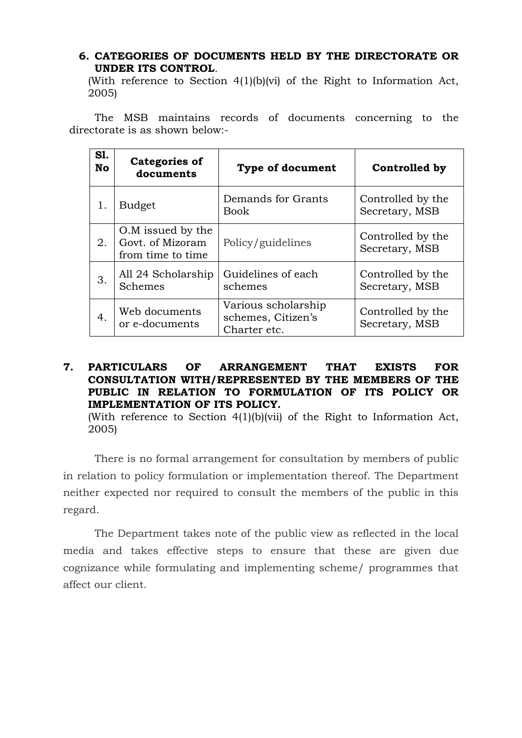## **6. CATEGORIES OF DOCUMENTS HELD BY THE DIRECTORATE OR UNDER ITS CONTROL**.

(With reference to Section 4(1)(b)(vi) of the Right to Information Act, 2005)

The MSB maintains records of documents concerning to the directorate is as shown below:-

| <b>S1.</b><br><b>No</b> | Categories of<br>documents                                 | <b>Type of document</b>                                   | Controlled by                       |
|-------------------------|------------------------------------------------------------|-----------------------------------------------------------|-------------------------------------|
| 1.                      | <b>Budget</b>                                              | Demands for Grants<br><b>Book</b>                         | Controlled by the<br>Secretary, MSB |
| 2.                      | O.M issued by the<br>Govt. of Mizoram<br>from time to time | Policy/guidelines                                         | Controlled by the<br>Secretary, MSB |
| 3.                      | All 24 Scholarship<br>Schemes                              | Guidelines of each<br>schemes                             | Controlled by the<br>Secretary, MSB |
| 4.                      | Web documents<br>or e-documents                            | Various scholarship<br>schemes, Citizen's<br>Charter etc. | Controlled by the<br>Secretary, MSB |

# **7. PARTICULARS OF ARRANGEMENT THAT EXISTS FOR CONSULTATION WITH/REPRESENTED BY THE MEMBERS OF THE PUBLIC IN RELATION TO FORMULATION OF ITS POLICY OR IMPLEMENTATION OF ITS POLICY.**

(With reference to Section 4(1)(b)(vii) of the Right to Information Act, 2005)

There is no formal arrangement for consultation by members of public in relation to policy formulation or implementation thereof. The Department neither expected nor required to consult the members of the public in this regard.

The Department takes note of the public view as reflected in the local media and takes effective steps to ensure that these are given due cognizance while formulating and implementing scheme/ programmes that affect our client.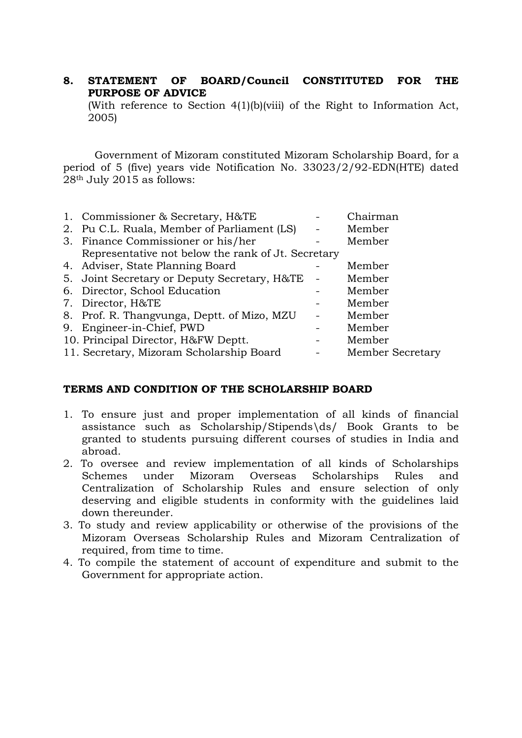## **8. STATEMENT OF BOARD/Council CONSTITUTED FOR THE PURPOSE OF ADVICE**

(With reference to Section 4(1)(b)(viii) of the Right to Information Act, 2005)

Government of Mizoram constituted Mizoram Scholarship Board, for a period of 5 (five) years vide Notification No. 33023/2/92-EDN(HTE) dated 28th July 2015 as follows:

| 1. Commissioner & Secretary, H&TE                  | Chairman         |
|----------------------------------------------------|------------------|
| 2. Pu C.L. Ruala, Member of Parliament (LS)        | Member           |
| 3. Finance Commissioner or his/her                 | Member           |
| Representative not below the rank of Jt. Secretary |                  |
| 4. Adviser, State Planning Board                   | Member           |
| 5. Joint Secretary or Deputy Secretary, H&TE       | Member           |
| 6. Director, School Education                      | Member           |
| 7. Director, H&TE                                  | Member           |
| 8. Prof. R. Thangvunga, Deptt. of Mizo, MZU        | Member           |
| 9. Engineer-in-Chief, PWD                          | Member           |
| 10. Principal Director, H&FW Deptt.                | Member           |
| 11. Secretary, Mizoram Scholarship Board           | Member Secretary |
|                                                    |                  |

## **TERMS AND CONDITION OF THE SCHOLARSHIP BOARD**

- 1. To ensure just and proper implementation of all kinds of financial assistance such as Scholarship/Stipends\ds/ Book Grants to be granted to students pursuing different courses of studies in India and abroad.
- 2. To oversee and review implementation of all kinds of Scholarships Schemes under Mizoram Overseas Scholarships Rules and Centralization of Scholarship Rules and ensure selection of only deserving and eligible students in conformity with the guidelines laid down thereunder.
- 3. To study and review applicability or otherwise of the provisions of the Mizoram Overseas Scholarship Rules and Mizoram Centralization of required, from time to time.
- 4. To compile the statement of account of expenditure and submit to the Government for appropriate action.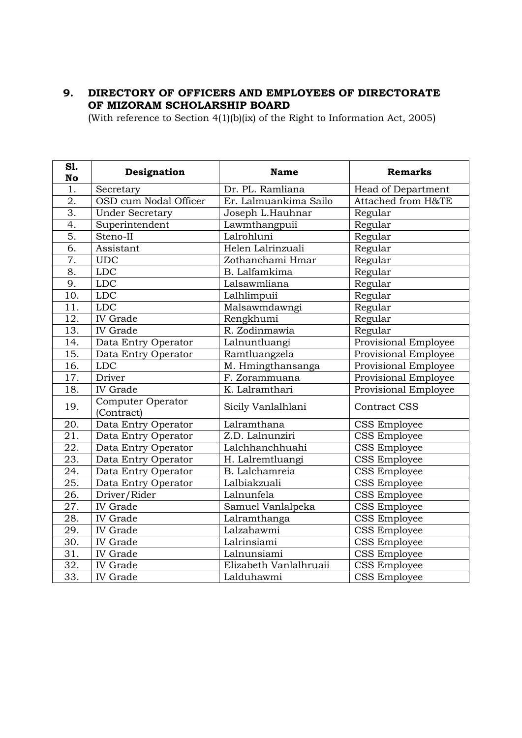## **9. DIRECTORY OF OFFICERS AND EMPLOYEES OF DIRECTORATE OF MIZORAM SCHOLARSHIP BOARD**

(With reference to Section 4(1)(b)(ix) of the Right to Information Act, 2005)

| S1.<br><b>No</b>  | Designation                     | <b>Name</b>            | <b>Remarks</b>            |
|-------------------|---------------------------------|------------------------|---------------------------|
| 1.                | Secretary                       | Dr. PL. Ramliana       | <b>Head of Department</b> |
| 2.                | OSD cum Nodal Officer           | Er. Lalmuankima Sailo  | Attached from H&TE        |
| 3.                | <b>Under Secretary</b>          | Joseph L.Hauhnar       | Regular                   |
| 4.                | Superintendent                  | Lawmthangpuii          | Regular                   |
| $\overline{5}$ .  | Steno-II                        | Lalrohluni             | Regular                   |
| 6.                | Assistant                       | Helen Lalrinzuali      | Regular                   |
| 7.                | <b>UDC</b>                      | Zothanchami Hmar       | Regular                   |
| 8.                | <b>LDC</b>                      | B. Lalfamkima          | Regular                   |
| 9.                | <b>LDC</b>                      | Lalsawmliana           | Regular                   |
| 10.               | LDC                             | Lalhlimpuii            | Regular                   |
| $\overline{11}$ . | <b>LDC</b>                      | Malsawmdawngi          | Regular                   |
| 12.               | <b>IV</b> Grade                 | Rengkhumi              | Regular                   |
| 13.               | <b>IV</b> Grade                 | R. Zodinmawia          | Regular                   |
| 14.               | Data Entry Operator             | Lalnuntluangi          | Provisional Employee      |
| 15.               | Data Entry Operator             | Ramtluangzela          | Provisional Employee      |
| 16.               | <b>LDC</b>                      | M. Hmingthansanga      | Provisional Employee      |
| 17.               | Driver                          | F. Zorammuana          | Provisional Employee      |
| 18.               | <b>IV</b> Grade                 | K. Lalramthari         | Provisional Employee      |
| 19.               | Computer Operator<br>(Contract) | Sicily Vanlalhlani     | <b>Contract CSS</b>       |
| 20.               | Data Entry Operator             | Lalramthana            | CSS Employee              |
| 21.               | Data Entry Operator             | Z.D. Lalnunziri        | CSS Employee              |
| 22.               | Data Entry Operator             | Lalchhanchhuahi        | CSS Employee              |
| 23.               | Data Entry Operator             | H. Lalremtluangi       | <b>CSS Employee</b>       |
| 24.               | Data Entry Operator             | B. Lalchamreia         | CSS Employee              |
| 25.               | Data Entry Operator             | Lalbiakzuali           | CSS Employee              |
| 26.               | Driver/Rider                    | Lalnunfela             | <b>CSS Employee</b>       |
| 27.               | <b>IV</b> Grade                 | Samuel Vanlalpeka      | CSS Employee              |
| 28.               | <b>IV</b> Grade                 | Lalramthanga           | CSS Employee              |
| 29.               | <b>IV</b> Grade                 | Lalzahawmi             | CSS Employee              |
| 30.               | IV Grade                        | Lalrinsiami            | CSS Employee              |
| 31.               | <b>IV</b> Grade                 | Lalnunsiami            | CSS Employee              |
| $\overline{32}$ . | IV Grade                        | Elizabeth Vanlalhruaii | CSS Employee              |
| $\overline{33}$ . | <b>IV</b> Grade                 | Lalduhawmi             | <b>CSS Employee</b>       |